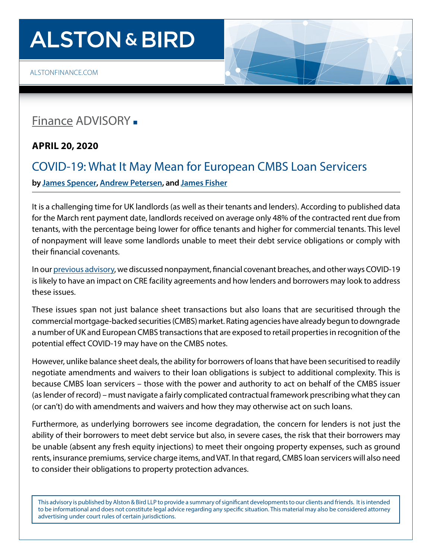# **ALSTON & BIRD**

[ALSTONFINANCE.COM](http://alstonfinance.com)

### [Finance](http://www.alston.com/services/corporate-finance/finance/) ADVISORY -

**APRIL 20, 2020** 

### COVID-19: What It May Mean for European CMBS Loan Servicers **by [James Spencer,](https://www.alston.com/en/professionals/s/spencer-james) [Andrew Petersen](https://www.alston.com/en/professionals/p/petersen-andrew), and [James Fisher](https://www.alston.com/en/professionals/f/fisher-james)**

It is a challenging time for UK landlords (as well as their tenants and lenders). According to published data for the March rent payment date, landlords received on average only 48% of the contracted rent due from tenants, with the percentage being lower for office tenants and higher for commercial tenants. This level of nonpayment will leave some landlords unable to meet their debt service obligations or comply with their financial covenants.

In our [previous advisory](https://www.alston.com/en/insights/publications/2020/03/covid-19-what-it-may-mean-for-landlords), we discussed nonpayment, financial covenant breaches, and other ways COVID-19 is likely to have an impact on CRE facility agreements and how lenders and borrowers may look to address these issues.

These issues span not just balance sheet transactions but also loans that are securitised through the commercial mortgage-backed securities (CMBS) market. Rating agencies have already begun to downgrade a number of UK and European CMBS transactions that are exposed to retail properties in recognition of the potential effect COVID-19 may have on the CMBS notes.

However, unlike balance sheet deals, the ability for borrowers of loans that have been securitised to readily negotiate amendments and waivers to their loan obligations is subject to additional complexity. This is because CMBS loan servicers – those with the power and authority to act on behalf of the CMBS issuer (as lender of record) – must navigate a fairly complicated contractual framework prescribing what they can (or can't) do with amendments and waivers and how they may otherwise act on such loans.

Furthermore, as underlying borrowers see income degradation, the concern for lenders is not just the ability of their borrowers to meet debt service but also, in severe cases, the risk that their borrowers may be unable (absent any fresh equity injections) to meet their ongoing property expenses, such as ground rents, insurance premiums, service charge items, and VAT. In that regard, CMBS loan servicers will also need to consider their obligations to property protection advances.

This advisory is published by Alston & Bird LLP to provide a summary of significant developments to our clients and friends. It is intended to be informational and does not constitute legal advice regarding any specific situation. This material may also be considered attorney advertising under court rules of certain jurisdictions.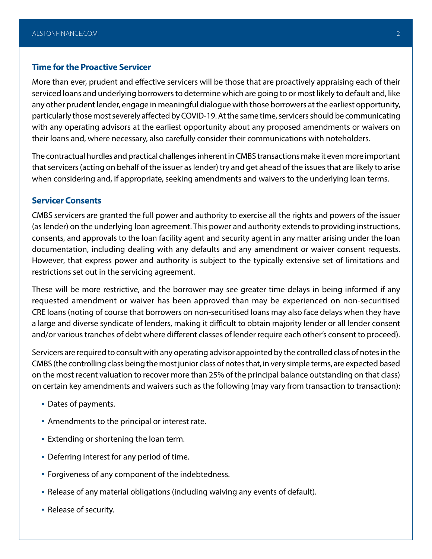#### **Time for the Proactive Servicer**

More than ever, prudent and effective servicers will be those that are proactively appraising each of their serviced loans and underlying borrowers to determine which are going to or most likely to default and, like any other prudent lender, engage in meaningful dialogue with those borrowers at the earliest opportunity, particularly those most severely affected by COVID-19. At the same time, servicers should be communicating with any operating advisors at the earliest opportunity about any proposed amendments or waivers on their loans and, where necessary, also carefully consider their communications with noteholders.

The contractual hurdles and practical challenges inherent in CMBS transactions make it even more important that servicers (acting on behalf of the issuer as lender) try and get ahead of the issues that are likely to arise when considering and, if appropriate, seeking amendments and waivers to the underlying loan terms.

#### **Servicer Consents**

CMBS servicers are granted the full power and authority to exercise all the rights and powers of the issuer (as lender) on the underlying loan agreement. This power and authority extends to providing instructions, consents, and approvals to the loan facility agent and security agent in any matter arising under the loan documentation, including dealing with any defaults and any amendment or waiver consent requests. However, that express power and authority is subject to the typically extensive set of limitations and restrictions set out in the servicing agreement.

These will be more restrictive, and the borrower may see greater time delays in being informed if any requested amendment or waiver has been approved than may be experienced on non-securitised CRE loans (noting of course that borrowers on non-securitised loans may also face delays when they have a large and diverse syndicate of lenders, making it difficult to obtain majority lender or all lender consent and/or various tranches of debt where different classes of lender require each other's consent to proceed).

Servicers are required to consult with any operating advisor appointed by the controlled class of notes in the CMBS (the controlling class being the most junior class of notes that, in very simple terms, are expected based on the most recent valuation to recover more than 25% of the principal balance outstanding on that class) on certain key amendments and waivers such as the following (may vary from transaction to transaction):

- Dates of payments.
- Amendments to the principal or interest rate.
- **Extending or shortening the loan term.**
- **Deferring interest for any period of time.**
- Forgiveness of any component of the indebtedness.
- Release of any material obligations (including waiving any events of default).
- Release of security.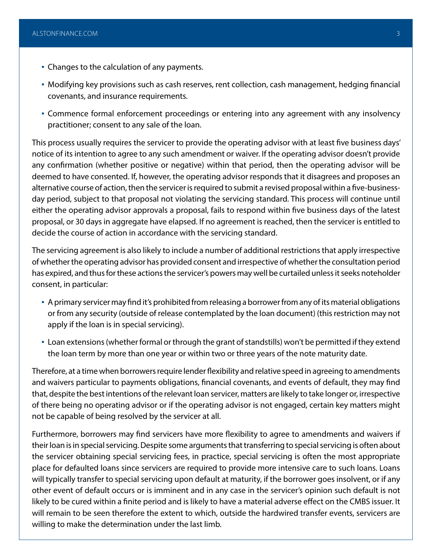- Changes to the calculation of any payments.
- Modifying key provisions such as cash reserves, rent collection, cash management, hedging financial covenants, and insurance requirements.
- Commence formal enforcement proceedings or entering into any agreement with any insolvency practitioner; consent to any sale of the loan.

This process usually requires the servicer to provide the operating advisor with at least five business days' notice of its intention to agree to any such amendment or waiver. If the operating advisor doesn't provide any confirmation (whether positive or negative) within that period, then the operating advisor will be deemed to have consented. If, however, the operating advisor responds that it disagrees and proposes an alternative course of action, then the servicer is required to submit a revised proposal within a five-businessday period, subject to that proposal not violating the servicing standard. This process will continue until either the operating advisor approvals a proposal, fails to respond within five business days of the latest proposal, or 30 days in aggregate have elapsed. If no agreement is reached, then the servicer is entitled to decide the course of action in accordance with the servicing standard.

The servicing agreement is also likely to include a number of additional restrictions that apply irrespective of whether the operating advisor has provided consent and irrespective of whether the consultation period has expired, and thus for these actions the servicer's powers may well be curtailed unless it seeks noteholder consent, in particular:

- A primary servicer may find it's prohibited from releasing a borrower from any of its material obligations or from any security (outside of release contemplated by the loan document) (this restriction may not apply if the loan is in special servicing).
- Loan extensions (whether formal or through the grant of standstills) won't be permitted if they extend the loan term by more than one year or within two or three years of the note maturity date.

Therefore, at a time when borrowers require lender flexibility and relative speed in agreeing to amendments and waivers particular to payments obligations, financial covenants, and events of default, they may find that, despite the best intentions of the relevant loan servicer, matters are likely to take longer or, irrespective of there being no operating advisor or if the operating advisor is not engaged, certain key matters might not be capable of being resolved by the servicer at all.

Furthermore, borrowers may find servicers have more flexibility to agree to amendments and waivers if their loan is in special servicing. Despite some arguments that transferring to special servicing is often about the servicer obtaining special servicing fees, in practice, special servicing is often the most appropriate place for defaulted loans since servicers are required to provide more intensive care to such loans. Loans will typically transfer to special servicing upon default at maturity, if the borrower goes insolvent, or if any other event of default occurs or is imminent and in any case in the servicer's opinion such default is not likely to be cured within a finite period and is likely to have a material adverse effect on the CMBS issuer. It will remain to be seen therefore the extent to which, outside the hardwired transfer events, servicers are willing to make the determination under the last limb.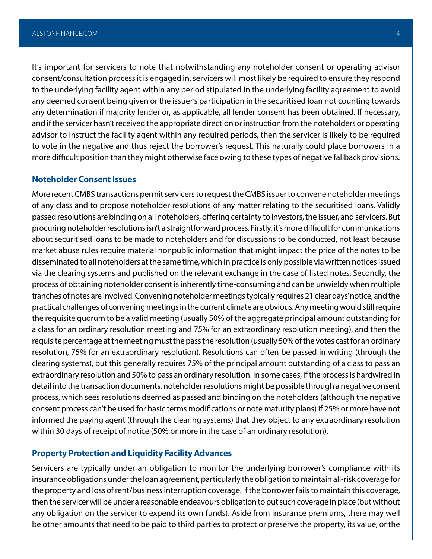It's important for servicers to note that notwithstanding any noteholder consent or operating advisor consent/consultation process it is engaged in, servicers will most likely be required to ensure they respond to the underlying facility agent within any period stipulated in the underlying facility agreement to avoid any deemed consent being given or the issuer's participation in the securitised loan not counting towards any determination if majority lender or, as applicable, all lender consent has been obtained. If necessary, and if the servicer hasn't received the appropriate direction or instruction from the noteholders or operating advisor to instruct the facility agent within any required periods, then the servicer is likely to be required to vote in the negative and thus reject the borrower's request. This naturally could place borrowers in a more difficult position than they might otherwise face owing to these types of negative fallback provisions.

#### **Noteholder Consent Issues**

More recent CMBS transactions permit servicers to request the CMBS issuer to convene noteholder meetings of any class and to propose noteholder resolutions of any matter relating to the securitised loans. Validly passed resolutions are binding on all noteholders, offering certainty to investors, the issuer, and servicers. But procuring noteholder resolutions isn't a straightforward process. Firstly, it's more difficult for communications about securitised loans to be made to noteholders and for discussions to be conducted, not least because market abuse rules require material nonpublic information that might impact the price of the notes to be disseminated to all noteholders at the same time, which in practice is only possible via written notices issued via the clearing systems and published on the relevant exchange in the case of listed notes. Secondly, the process of obtaining noteholder consent is inherently time-consuming and can be unwieldy when multiple tranches of notes are involved. Convening noteholder meetings typically requires 21 clear days' notice, and the practical challenges of convening meetings in the current climate are obvious. Any meeting would still require the requisite quorum to be a valid meeting (usually 50% of the aggregate principal amount outstanding for a class for an ordinary resolution meeting and 75% for an extraordinary resolution meeting), and then the requisite percentage at the meeting must the pass the resolution (usually 50% of the votes cast for an ordinary resolution, 75% for an extraordinary resolution). Resolutions can often be passed in writing (through the clearing systems), but this generally requires 75% of the principal amount outstanding of a class to pass an extraordinary resolution and 50% to pass an ordinary resolution. In some cases, if the process is hardwired in detail into the transaction documents, noteholder resolutions might be possible through a negative consent process, which sees resolutions deemed as passed and binding on the noteholders (although the negative consent process can't be used for basic terms modifications or note maturity plans) if 25% or more have not informed the paying agent (through the clearing systems) that they object to any extraordinary resolution within 30 days of receipt of notice (50% or more in the case of an ordinary resolution).

#### **Property Protection and Liquidity Facility Advances**

Servicers are typically under an obligation to monitor the underlying borrower's compliance with its insurance obligations under the loan agreement, particularly the obligation to maintain all-risk coverage for the property and loss of rent/business interruption coverage. If the borrower fails to maintain this coverage, then the servicer will be under a reasonable endeavours obligation to put such coverage in place (but without any obligation on the servicer to expend its own funds). Aside from insurance premiums, there may well be other amounts that need to be paid to third parties to protect or preserve the property, its value, or the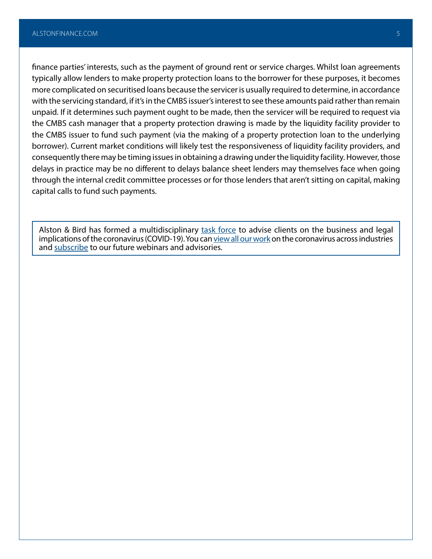finance parties' interests, such as the payment of ground rent or service charges. Whilst loan agreements typically allow lenders to make property protection loans to the borrower for these purposes, it becomes more complicated on securitised loans because the servicer is usually required to determine, in accordance with the servicing standard, if it's in the CMBS issuer's interest to see these amounts paid rather than remain unpaid. If it determines such payment ought to be made, then the servicer will be required to request via the CMBS cash manager that a property protection drawing is made by the liquidity facility provider to the CMBS issuer to fund such payment (via the making of a property protection loan to the underlying borrower). Current market conditions will likely test the responsiveness of liquidity facility providers, and consequently there may be timing issues in obtaining a drawing under the liquidity facility. However, those delays in practice may be no different to delays balance sheet lenders may themselves face when going through the internal credit committee processes or for those lenders that aren't sitting on capital, making capital calls to fund such payments.

Alston & Bird has formed a multidisciplinary [task force](https://www.alston.com/en/resources/coronavirus/overview) to advise clients on the business and legal implications of the coronavirus (COVID-19). You can [view all our work](https://www.alston.com/en/insights/?keyword=Coronavirus&reload=false&scroll=499.7685546875) on the coronavirus across industries and [subscribe](https://www.alston.com/en/resources/subscriptions-form) to our future webinars and advisories.